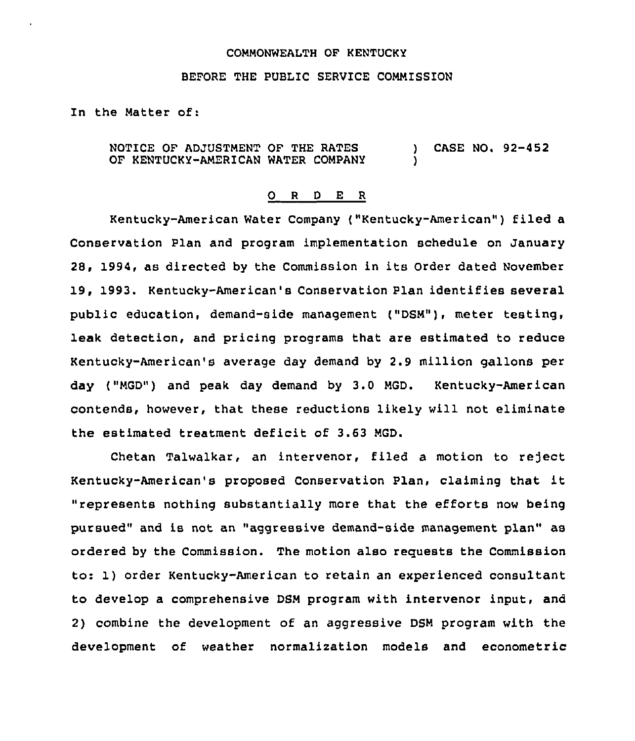## COMMONWEALTH OF KENTUCKY

## BEFORE THE PUBLIC SERVICE COMMISSION

In the Matter of:

NOTICE OF ADJUSTMENT OF THE RATES OF KENTUCKY-AMERICAN WATER COMPANY ) CASE NO. 92-452 )

## 0 <sup>R</sup> <sup>D</sup> E <sup>R</sup>

Kentucky-American Water Company ("Kentucky-American") filed a Conservation Plan and program implementation schedule on January 28, 1994, as directed by the Commission in its Order dated November 19, 1993. Kentucky-American's Conservation Plan identifies several public education, demand-side management ("DSM"), meter testing, leak detection, and pricing programs that are estimated to reduce Kentucky-American's average day demand by 2.9 million gallons per day ("MGD") and peak day demand by 3.0 MGD. Kentucky-American contends, however, that these reductions likely will not eliminate the estimated treatment deficit of 3.63 MGD.

Chetan Talwalkar, an intervenor, filed a motion to reject Kentucky-American's proposed Conservation Plan, claiming that it "represents nothing substantially more that the efforts now being pursued" and is not an "aggressive demand-side management plan" as ordered by the Commission. The motion also requests the Commission to: 1) order Kentucky-American to retain an experienced consultant to develop a comprehensive DSM program with intervenor input, and 2) combine the development of an aggressive DSM program with the development of weather normalization models and econometric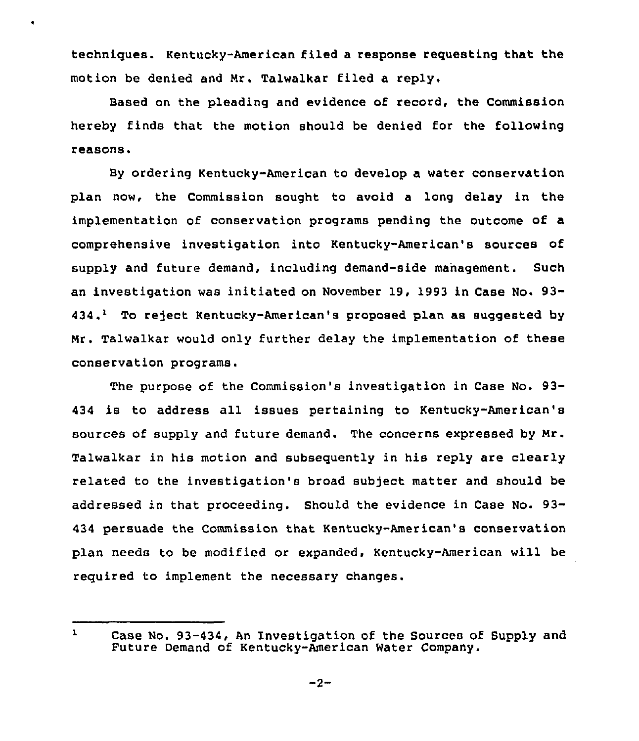techniques. Kentucky-American filed a response requesting that the motion be denied and Nr. Talwalkar filed a reply.

Based on the pleading and evidence of record, the Commission hereby finds that the motion should be denied for the following reasons.

By ordering Kentucky-American to develop a water conservation plan now, the Commission sought to avoid a long delay in the implementation of conservation programs pending the outcome of a comprehensive investigation into Kentucky-American's sources of supply and future demand, including demand-side mahagement. Such an investigation was initiated on November 19, 1993 in Case No. 93-  $434.$ <sup>1</sup> To reject Kentucky-American's proposed plan as suggested by Nr. Talwalkar would only further delay the implementation of these conservation programs.

The purpose of the Commission's investigation in Case No. 93- 434 is to address all issues pertaining to Kentucky-American's sources of supply and future demand. The concerns expressed by Nr. Talwalkar in his motion and subsequently in his reply are clearly related to the investigation's broad subject matter and should be addressed in that proceeding. Should the evidence in Case No. 93- 434 persuade the Commission that Kentucky-American's conservation plan needs to be modified or expanded, Kentucky-American will be required to implement the necessary changes.

 $\mathbf{1}$ Case No. 93-434, An Investigation of the Sources of Supply and Future Demand of Kentucky-American Water Company.